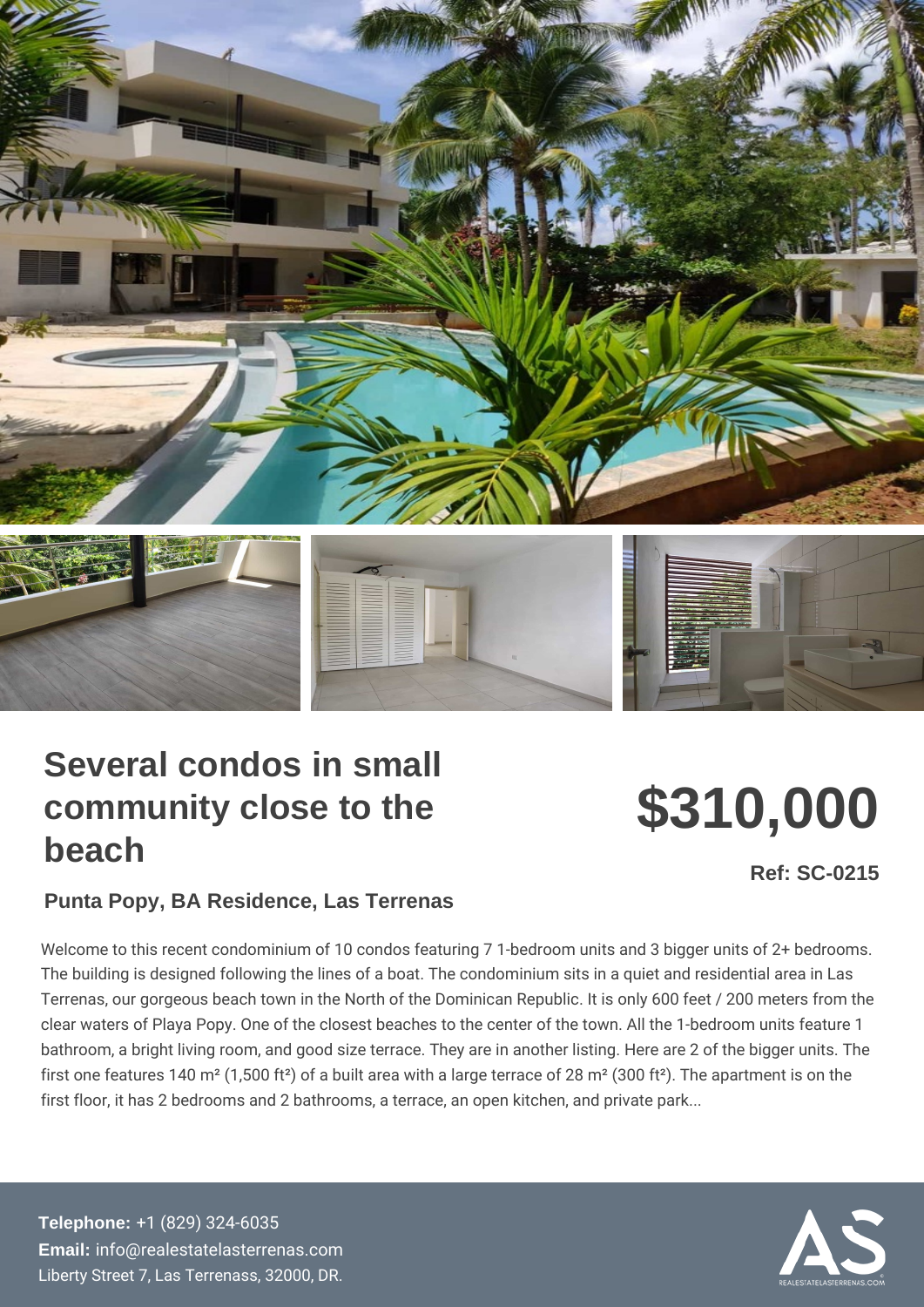## Several condos in small community close to the beach

# \$310,000

Ref: SC-0215

#### Punta Popy, BA Residence, Las Terrenas

Welcome to this recent condominium of 10 condos featuring 7 1-bedroom un The building is designed following the lines of a boat. The condominium sit Terrenas, our gorgeous beach town in the North of the Dominican Republic. clear waters of Playa Popy. One of the closest beaches to the center of the bathroom, a bright living room, and good size terrace. They are in another first one features 140 m<sup>2</sup> (1,500 ft<sup>2</sup>) of a built area with a large terrace of 2 first floor, it has 2 bedrooms and 2 bathrooms, a terrace, an open kitchen,

Telephone: [+1 \(829\) 32](tel:+1 (829) 324-6035)4-6035 Email: [info@realestatelaste](mailto:info@realestatelasterrenas.com)rrenas.com Liberty Street 7, Las Terrenass, 32000, DR.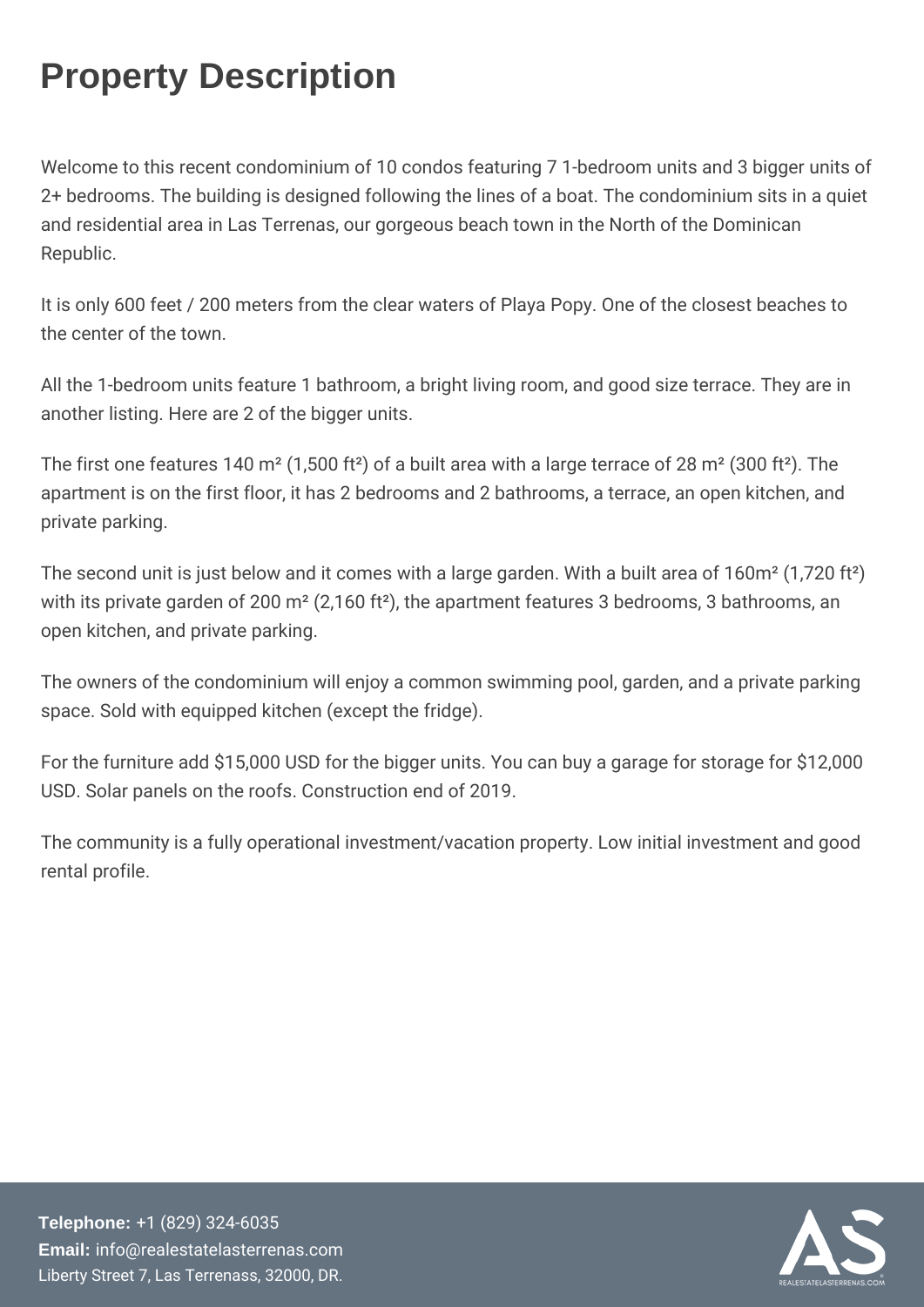### Property Description

Welcome to this recent condominium of 10 condos featuring 7 1-be 2+ bedrooms. The building is designed following the lines of a boat. and residential area in Las Terrenas, our gorgeous beach town in Republic.

It is only 600 feet / 200 meters from the clear waters of Playa Pop the center of the town.

All the 1-bedroom units feature 1 bathroom, a bright living room, and another listing. Here are 2 of the bigger units.

The first one features 140 m<sup>2</sup> (1,500 ft<sup>2</sup>) of a built area with a large apartment is on the first floor, it has 2 bedrooms and 2 bathrooms private parking.

The second unit is just below and it comes with a large garden. W with its private garden of 200 m<sup>2</sup> (2,160 ft<sup>2</sup>), the apartment featur open kitchen, and private parking.

The owners of the condominium will enjoy a common swimming poo space. Sold with equipped kitchen (except the fridge).

For the furniture add  $$15,000$  USD for the bigger units. You can b USD. Solar panels on the roofs. Construction end of 2019.

The community is a fully operational investment/vacation property. rental profile.